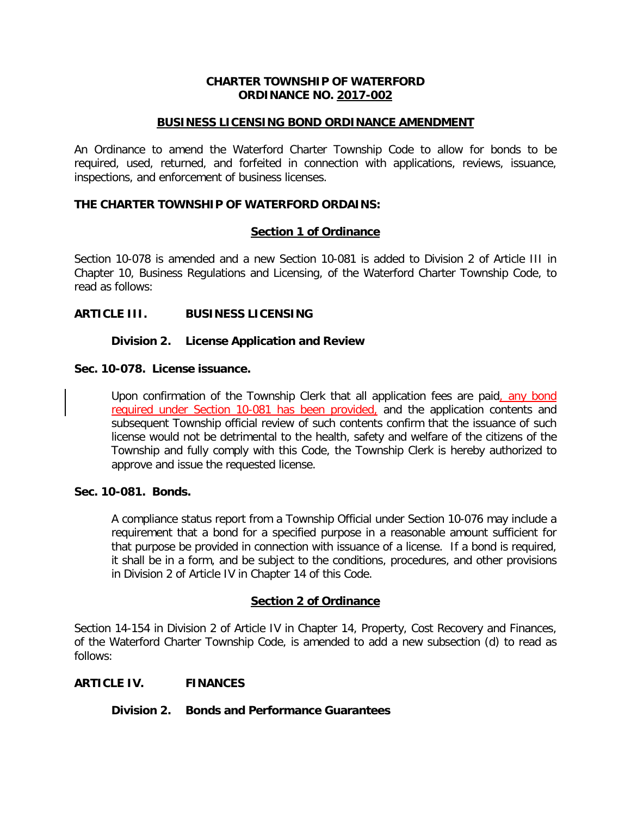## **CHARTER TOWNSHIP OF WATERFORD ORDINANCE NO. 2017-002**

### **BUSINESS LICENSING BOND ORDINANCE AMENDMENT**

An Ordinance to amend the Waterford Charter Township Code to allow for bonds to be required, used, returned, and forfeited in connection with applications, reviews, issuance, inspections, and enforcement of business licenses.

## **THE CHARTER TOWNSHIP OF WATERFORD ORDAINS:**

# **Section 1 of Ordinance**

Section 10-078 is amended and a new Section 10-081 is added to Division 2 of Article III in Chapter 10, Business Regulations and Licensing, of the Waterford Charter Township Code, to read as follows:

## **ARTICLE III. BUSINESS LICENSING**

#### **Division 2. License Application and Review**

#### **Sec. 10-078. License issuance.**

Upon confirmation of the Township Clerk that all application fees are paid, any bond required under Section 10-081 has been provided, and the application contents and subsequent Township official review of such contents confirm that the issuance of such license would not be detrimental to the health, safety and welfare of the citizens of the Township and fully comply with this Code, the Township Clerk is hereby authorized to approve and issue the requested license.

#### **Sec. 10-081. Bonds.**

A compliance status report from a Township Official under Section 10-076 may include a requirement that a bond for a specified purpose in a reasonable amount sufficient for that purpose be provided in connection with issuance of a license. If a bond is required, it shall be in a form, and be subject to the conditions, procedures, and other provisions in Division 2 of Article IV in Chapter 14 of this Code.

#### **Section 2 of Ordinance**

Section 14-154 in Division 2 of Article IV in Chapter 14, Property, Cost Recovery and Finances, of the Waterford Charter Township Code, is amended to add a new subsection (d) to read as follows:

#### **ARTICLE IV. FINANCES**

#### **Division 2. Bonds and Performance Guarantees**